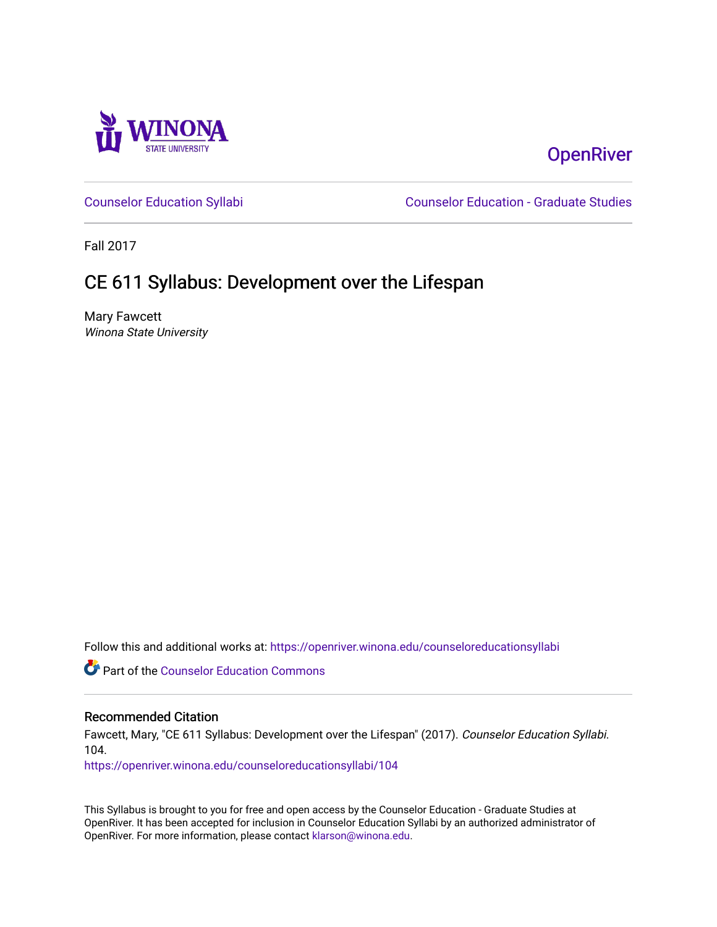

# **OpenRiver**

[Counselor Education Syllabi](https://openriver.winona.edu/counseloreducationsyllabi) [Counselor Education - Graduate Studies](https://openriver.winona.edu/counseloreducation) 

Fall 2017

# CE 611 Syllabus: Development over the Lifespan

Mary Fawcett Winona State University

Follow this and additional works at: [https://openriver.winona.edu/counseloreducationsyllabi](https://openriver.winona.edu/counseloreducationsyllabi?utm_source=openriver.winona.edu%2Fcounseloreducationsyllabi%2F104&utm_medium=PDF&utm_campaign=PDFCoverPages)

Part of the [Counselor Education Commons](http://network.bepress.com/hgg/discipline/1278?utm_source=openriver.winona.edu%2Fcounseloreducationsyllabi%2F104&utm_medium=PDF&utm_campaign=PDFCoverPages) 

#### Recommended Citation

Fawcett, Mary, "CE 611 Syllabus: Development over the Lifespan" (2017). Counselor Education Syllabi. 104.

[https://openriver.winona.edu/counseloreducationsyllabi/104](https://openriver.winona.edu/counseloreducationsyllabi/104?utm_source=openriver.winona.edu%2Fcounseloreducationsyllabi%2F104&utm_medium=PDF&utm_campaign=PDFCoverPages)

This Syllabus is brought to you for free and open access by the Counselor Education - Graduate Studies at OpenRiver. It has been accepted for inclusion in Counselor Education Syllabi by an authorized administrator of OpenRiver. For more information, please contact [klarson@winona.edu](mailto:klarson@winona.edu).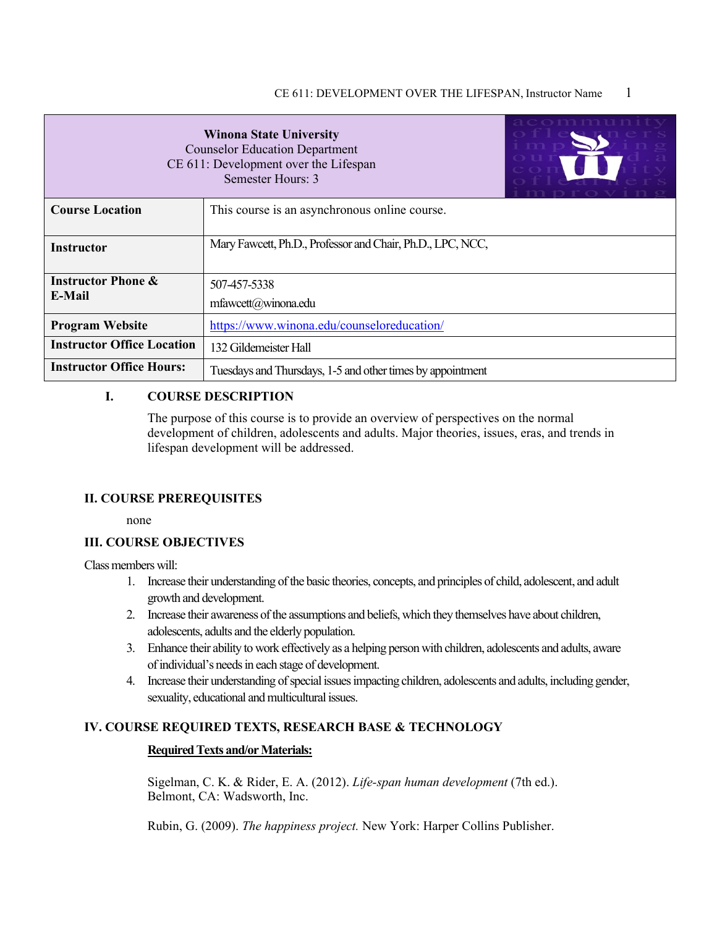| ם נבמנמכ<br><b>Winona State University</b><br><b>Counselor Education Department</b><br>CE 611: Development over the Lifespan<br>Semester Hours: 3 |                                               |  |
|---------------------------------------------------------------------------------------------------------------------------------------------------|-----------------------------------------------|--|
| <b>Course Location</b>                                                                                                                            | This course is an asynchronous online course. |  |
| Mary Fawcett, Ph.D., Professor and Chair, Ph.D., LPC, NCC,<br><b>Instructor</b>                                                                   |                                               |  |
| <b>Instructor Phone &amp;</b><br>507-457-5338<br>E-Mail<br>$m$ fawcett $(a)$ winona.edu                                                           |                                               |  |
| <b>Program Website</b>                                                                                                                            | https://www.winona.edu/counseloreducation/    |  |
| <b>Instructor Office Location</b><br>132 Gildemeister Hall                                                                                        |                                               |  |
| <b>Instructor Office Hours:</b><br>Tuesdays and Thursdays, 1-5 and other times by appointment                                                     |                                               |  |

#### **I. COURSE DESCRIPTION**

The purpose of this course is to provide an overview of perspectives on the normal development of children, adolescents and adults. Major theories, issues, eras, and trends in lifespan development will be addressed.

#### **II. COURSE PREREQUISITES**

none

#### **III. COURSE OBJECTIVES**

Class members will:

- 1. Increase their understanding of the basic theories, concepts, and principles of child, adolescent, and adult growth and development.
- 2. Increase their awareness of the assumptions and beliefs, which they themselves have about children, adolescents, adults and the elderly population.
- 3. Enhance their ability to work effectively as a helping person with children, adolescents and adults, aware of individual's needs in each stage of development.
- 4. Increase their understanding of special issues impacting children, adolescents and adults, including gender, sexuality, educational and multicultural issues.

## **IV. COURSE REQUIRED TEXTS, RESEARCH BASE & TECHNOLOGY**

## **Required Texts and/or Materials:**

Sigelman, C. K. & Rider, E. A. (2012). *Life-span human development* (7th ed.). Belmont, CA: Wadsworth, Inc.

Rubin, G. (2009). *The happiness project.* New York: Harper Collins Publisher.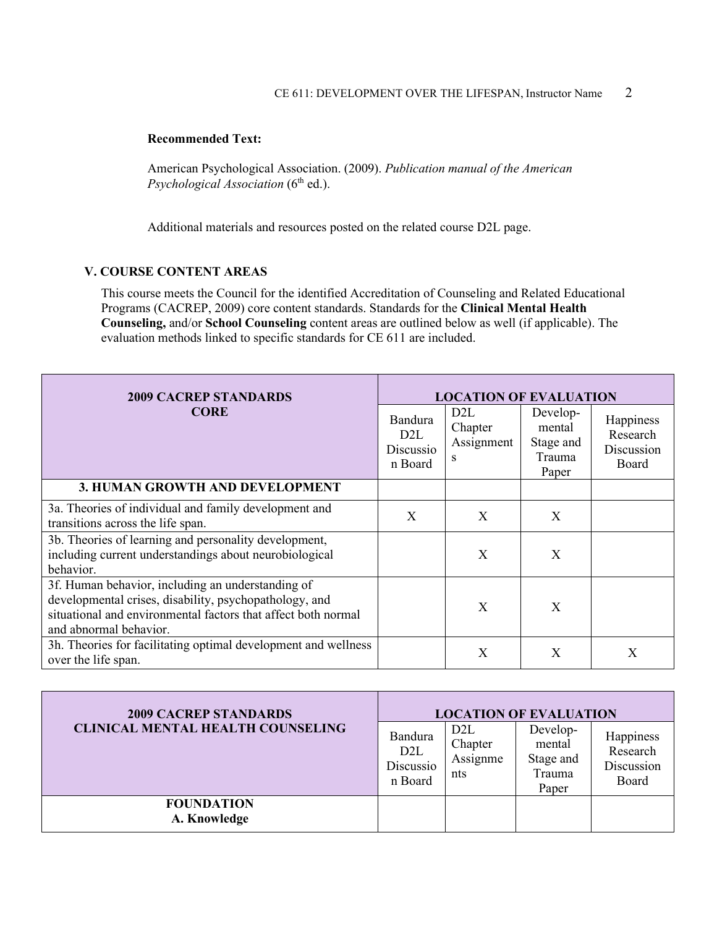#### **Recommended Text:**

American Psychological Association. (2009). *Publication manual of the American Psychological Association* (6<sup>th</sup> ed.).

Additional materials and resources posted on the related course D2L page.

## **V. COURSE CONTENT AREAS**

This course meets the Council for the identified Accreditation of Counseling and Related Educational Programs (CACREP, 2009) core content standards. Standards for the **Clinical Mental Health Counseling,** and/or **School Counseling** content areas are outlined below as well (if applicable). The evaluation methods linked to specific standards for CE 611 are included.

| <b>2009 CACREP STANDARDS</b>                                                                                                                                                                           | <b>LOCATION OF EVALUATION</b>                       |                                                |                                                    |                                              |
|--------------------------------------------------------------------------------------------------------------------------------------------------------------------------------------------------------|-----------------------------------------------------|------------------------------------------------|----------------------------------------------------|----------------------------------------------|
| <b>CORE</b>                                                                                                                                                                                            | Bandura<br>D <sub>2</sub> L<br>Discussio<br>n Board | D <sub>2</sub> L<br>Chapter<br>Assignment<br>S | Develop-<br>mental<br>Stage and<br>Trauma<br>Paper | Happiness<br>Research<br>Discussion<br>Board |
| 3. HUMAN GROWTH AND DEVELOPMENT                                                                                                                                                                        |                                                     |                                                |                                                    |                                              |
| 3a. Theories of individual and family development and<br>transitions across the life span.                                                                                                             | X                                                   | X                                              | X                                                  |                                              |
| 3b. Theories of learning and personality development,<br>including current understandings about neurobiological<br>behavior.                                                                           |                                                     | X                                              | X                                                  |                                              |
| 3f. Human behavior, including an understanding of<br>developmental crises, disability, psychopathology, and<br>situational and environmental factors that affect both normal<br>and abnormal behavior. |                                                     | X                                              | X                                                  |                                              |
| 3h. Theories for facilitating optimal development and wellness<br>over the life span.                                                                                                                  |                                                     | X                                              | X                                                  | X                                            |

| <b>2009 CACREP STANDARDS</b>             |                                                     |                                                | <b>LOCATION OF EVALUATION</b>                      |                                              |
|------------------------------------------|-----------------------------------------------------|------------------------------------------------|----------------------------------------------------|----------------------------------------------|
| <b>CLINICAL MENTAL HEALTH COUNSELING</b> | Bandura<br>D <sub>2</sub> L<br>Discussio<br>n Board | D <sub>2</sub> L<br>Chapter<br>Assignme<br>nts | Develop-<br>mental<br>Stage and<br>Trauma<br>Paper | Happiness<br>Research<br>Discussion<br>Board |
| <b>FOUNDATION</b><br>A. Knowledge        |                                                     |                                                |                                                    |                                              |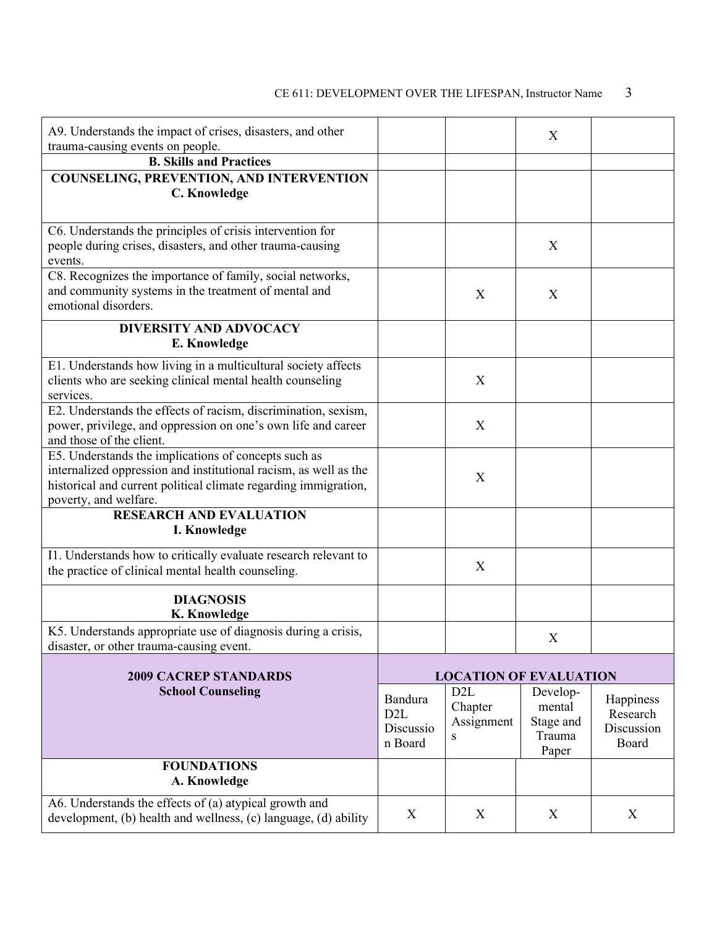# CE 611: DEVELOPMENT OVER THE LIFESPAN, Instructor Name 3

| A9. Understands the impact of crises, disasters, and other<br>trauma-causing events on people.            |                               |                               | X         |                        |
|-----------------------------------------------------------------------------------------------------------|-------------------------------|-------------------------------|-----------|------------------------|
| <b>B. Skills and Practices</b>                                                                            |                               |                               |           |                        |
| COUNSELING, PREVENTION, AND INTERVENTION                                                                  |                               |                               |           |                        |
| C. Knowledge                                                                                              |                               |                               |           |                        |
|                                                                                                           |                               |                               |           |                        |
| C6. Understands the principles of crisis intervention for                                                 |                               |                               |           |                        |
| people during crises, disasters, and other trauma-causing                                                 |                               |                               | X         |                        |
| events.                                                                                                   |                               |                               |           |                        |
| C8. Recognizes the importance of family, social networks,                                                 |                               |                               |           |                        |
| and community systems in the treatment of mental and<br>emotional disorders.                              |                               | X                             | X         |                        |
|                                                                                                           |                               |                               |           |                        |
| <b>DIVERSITY AND ADVOCACY</b>                                                                             |                               |                               |           |                        |
| E. Knowledge                                                                                              |                               |                               |           |                        |
| E1. Understands how living in a multicultural society affects                                             |                               |                               |           |                        |
| clients who are seeking clinical mental health counseling                                                 |                               | X                             |           |                        |
| services.<br>E2. Understands the effects of racism, discrimination, sexism,                               |                               |                               |           |                        |
| power, privilege, and oppression on one's own life and career                                             |                               | X                             |           |                        |
| and those of the client.                                                                                  |                               |                               |           |                        |
| E5. Understands the implications of concepts such as                                                      |                               |                               |           |                        |
| internalized oppression and institutional racism, as well as the                                          |                               | X                             |           |                        |
| historical and current political climate regarding immigration,                                           |                               |                               |           |                        |
| poverty, and welfare.                                                                                     |                               |                               |           |                        |
| <b>RESEARCH AND EVALUATION</b>                                                                            |                               |                               |           |                        |
| I. Knowledge                                                                                              |                               |                               |           |                        |
| I1. Understands how to critically evaluate research relevant to                                           |                               |                               |           |                        |
| the practice of clinical mental health counseling.                                                        |                               | X                             |           |                        |
| <b>DIAGNOSIS</b>                                                                                          |                               |                               |           |                        |
| K. Knowledge                                                                                              |                               |                               |           |                        |
| K5. Understands appropriate use of diagnosis during a crisis,<br>disaster, or other trauma-causing event. |                               |                               | X         |                        |
| <b>2009 CACREP STANDARDS</b>                                                                              |                               | <b>LOCATION OF EVALUATION</b> |           |                        |
| <b>School Counseling</b>                                                                                  |                               | D <sub>2</sub> L              | Develop-  |                        |
|                                                                                                           | Bandura                       | Chapter                       | mental    | Happiness              |
|                                                                                                           | D <sub>2</sub> L<br>Discussio | Assignment                    | Stage and | Research<br>Discussion |
|                                                                                                           | n Board                       | S                             | Trauma    | Board                  |
| <b>FOUNDATIONS</b>                                                                                        |                               |                               | Paper     |                        |
| A. Knowledge                                                                                              |                               |                               |           |                        |
| A6. Understands the effects of (a) atypical growth and                                                    |                               |                               |           |                        |
| development, (b) health and wellness, (c) language, (d) ability                                           | X                             | X                             | X         | X                      |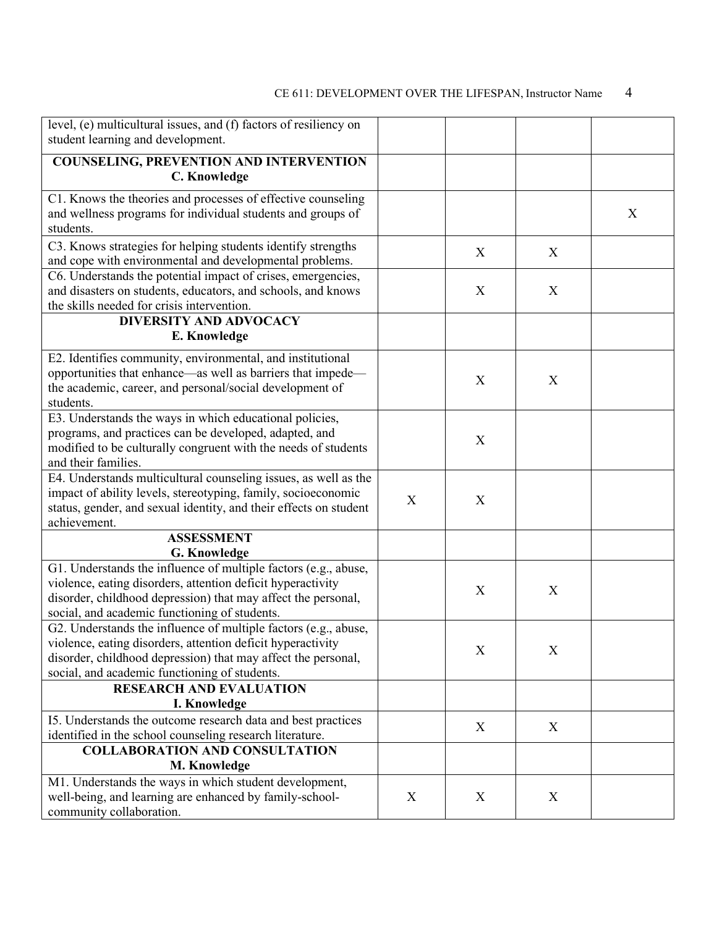# CE 611: DEVELOPMENT OVER THE LIFESPAN, Instructor Name 4

| level, (e) multicultural issues, and (f) factors of resiliency on     |   |   |                           |   |
|-----------------------------------------------------------------------|---|---|---------------------------|---|
| student learning and development.                                     |   |   |                           |   |
| <b>COUNSELING, PREVENTION AND INTERVENTION</b>                        |   |   |                           |   |
| C. Knowledge                                                          |   |   |                           |   |
|                                                                       |   |   |                           |   |
| C1. Knows the theories and processes of effective counseling          |   |   |                           |   |
| and wellness programs for individual students and groups of           |   |   |                           | X |
| students.                                                             |   |   |                           |   |
| C3. Knows strategies for helping students identify strengths          |   | X | X                         |   |
| and cope with environmental and developmental problems.               |   |   |                           |   |
| C6. Understands the potential impact of crises, emergencies,          |   |   |                           |   |
| and disasters on students, educators, and schools, and knows          |   | X | X                         |   |
| the skills needed for crisis intervention.                            |   |   |                           |   |
| <b>DIVERSITY AND ADVOCACY</b>                                         |   |   |                           |   |
| E. Knowledge                                                          |   |   |                           |   |
|                                                                       |   |   |                           |   |
| E2. Identifies community, environmental, and institutional            |   |   |                           |   |
| opportunities that enhance—as well as barriers that impede—           |   | X | X                         |   |
| the academic, career, and personal/social development of<br>students. |   |   |                           |   |
|                                                                       |   |   |                           |   |
| E3. Understands the ways in which educational policies,               |   |   |                           |   |
| programs, and practices can be developed, adapted, and                |   | X |                           |   |
| modified to be culturally congruent with the needs of students        |   |   |                           |   |
| and their families.                                                   |   |   |                           |   |
| E4. Understands multicultural counseling issues, as well as the       |   |   |                           |   |
| impact of ability levels, stereotyping, family, socioeconomic         | X | X |                           |   |
| status, gender, and sexual identity, and their effects on student     |   |   |                           |   |
| achievement.                                                          |   |   |                           |   |
| <b>ASSESSMENT</b>                                                     |   |   |                           |   |
| <b>G. Knowledge</b>                                                   |   |   |                           |   |
| G1. Understands the influence of multiple factors (e.g., abuse,       |   |   |                           |   |
| violence, eating disorders, attention deficit hyperactivity           |   | X | $\boldsymbol{\mathrm{X}}$ |   |
| disorder, childhood depression) that may affect the personal,         |   |   |                           |   |
| social, and academic functioning of students.                         |   |   |                           |   |
| G2. Understands the influence of multiple factors (e.g., abuse,       |   |   |                           |   |
| violence, eating disorders, attention deficit hyperactivity           |   | X | X                         |   |
| disorder, childhood depression) that may affect the personal,         |   |   |                           |   |
| social, and academic functioning of students.                         |   |   |                           |   |
| <b>RESEARCH AND EVALUATION</b>                                        |   |   |                           |   |
| I. Knowledge                                                          |   |   |                           |   |
| I5. Understands the outcome research data and best practices          |   | X | X                         |   |
| identified in the school counseling research literature.              |   |   |                           |   |
| <b>COLLABORATION AND CONSULTATION</b>                                 |   |   |                           |   |
| M. Knowledge                                                          |   |   |                           |   |
| M1. Understands the ways in which student development,                |   |   |                           |   |
| well-being, and learning are enhanced by family-school-               | X | X | X                         |   |
| community collaboration.                                              |   |   |                           |   |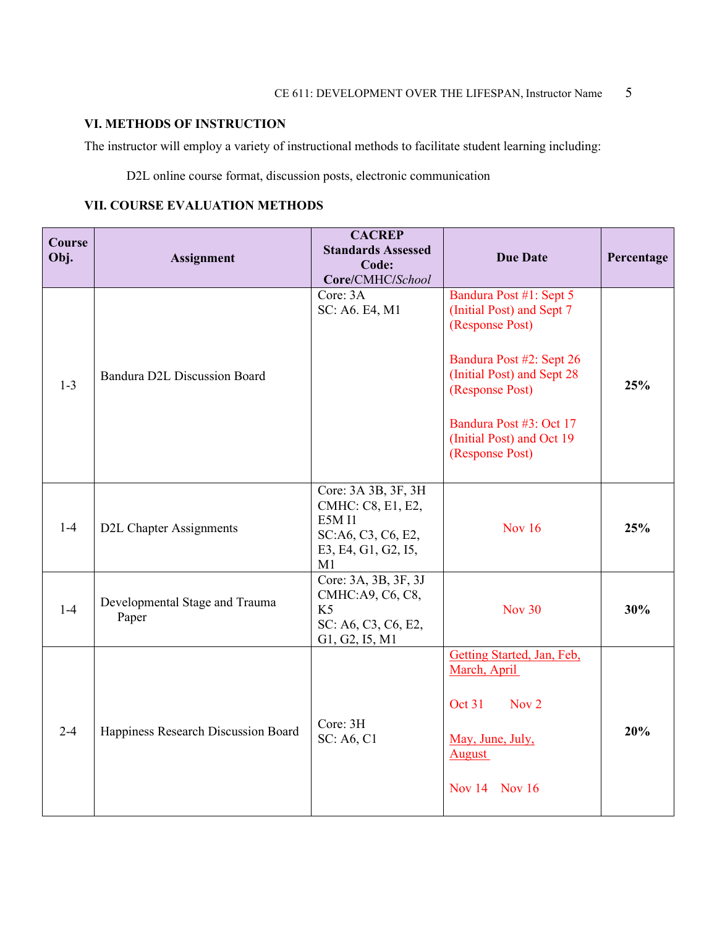# **VI. METHODS OF INSTRUCTION**

The instructor will employ a variety of instructional methods to facilitate student learning including:

D2L online course format, discussion posts, electronic communication

## **VII. COURSE EVALUATION METHODS**

| <b>Course</b><br>Obj. | <b>Assignment</b>                       | <b>CACREP</b><br><b>Standards Assessed</b><br>Code:<br>Core/CMHC/School                                      | <b>Due Date</b>                                                                                                                                                                                                                 | Percentage |
|-----------------------|-----------------------------------------|--------------------------------------------------------------------------------------------------------------|---------------------------------------------------------------------------------------------------------------------------------------------------------------------------------------------------------------------------------|------------|
| $1 - 3$               | Bandura D2L Discussion Board            | Core: 3A<br>SC: A6. E4, M1                                                                                   | Bandura Post #1: Sept 5<br>(Initial Post) and Sept 7<br>(Response Post)<br>Bandura Post #2: Sept 26<br>(Initial Post) and Sept 28<br>(Response Post)<br>Bandura Post #3: Oct 17<br>(Initial Post) and Oct 19<br>(Response Post) | 25%        |
| $1-4$                 | <b>D2L Chapter Assignments</b>          | Core: 3A 3B, 3F, 3H<br>CMHC: C8, E1, E2,<br><b>E5M I1</b><br>SC:A6, C3, C6, E2,<br>E3, E4, G1, G2, I5,<br>M1 | <b>Nov 16</b>                                                                                                                                                                                                                   | 25%        |
| $1-4$                 | Developmental Stage and Trauma<br>Paper | Core: 3A, 3B, 3F, 3J<br>CMHC:A9, C6, C8,<br>K <sub>5</sub><br>SC: A6, C3, C6, E2,<br>G1, G2, I5, M1          | <b>Nov 30</b>                                                                                                                                                                                                                   | 30%        |
| $2 - 4$               | Happiness Research Discussion Board     | Core: 3H<br>SC: A6, C1                                                                                       | Getting Started, Jan, Feb,<br>March, April<br>Nov <sub>2</sub><br>Oct 31<br>May, June, July,<br><b>August</b><br>Nov 14 Nov 16                                                                                                  | 20%        |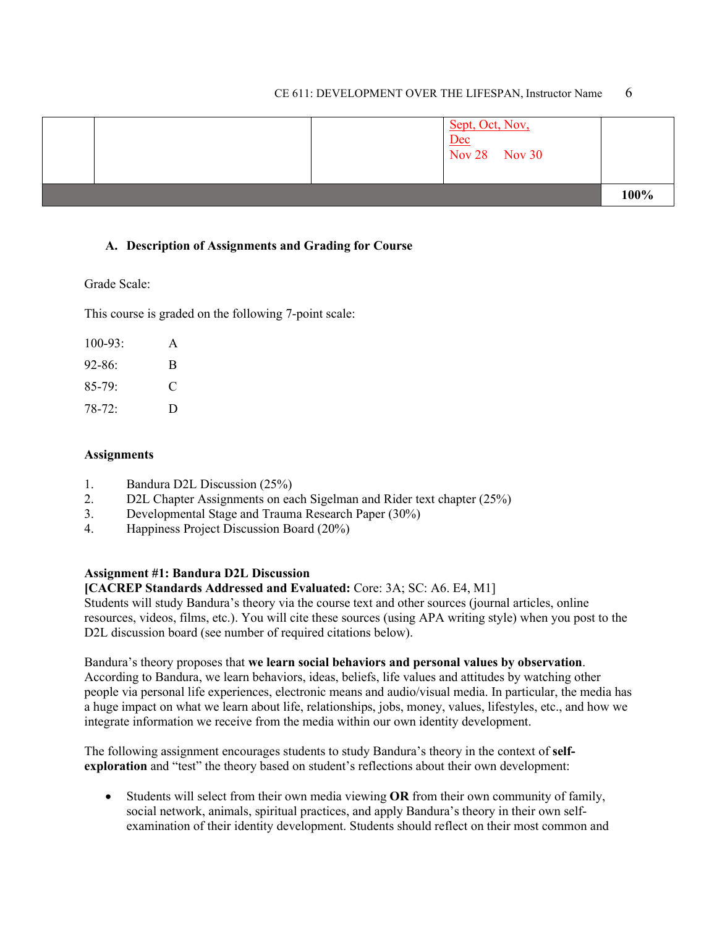#### CE 611: DEVELOPMENT OVER THE LIFESPAN, Instructor Name 6

|  | Sept, Oct, Nov,<br>$\frac{\overline{Dec}}{\overline{Nov 28}}$ Nov 30 |      |
|--|----------------------------------------------------------------------|------|
|  |                                                                      | 100% |

#### **A. Description of Assignments and Grading for Course**

#### Grade Scale:

This course is graded on the following 7-point scale:

| $100-93:$  | A |
|------------|---|
| $92 - 86:$ | B |
| $85-79:$   | C |
| $78-72:$   | D |

#### **Assignments**

- 1. Bandura D2L Discussion (25%)
- 2. D2L Chapter Assignments on each Sigelman and Rider text chapter (25%)
- 3. Developmental Stage and Trauma Research Paper (30%)
- 4. Happiness Project Discussion Board (20%)

### **Assignment #1: Bandura D2L Discussion**

### **[CACREP Standards Addressed and Evaluated:** Core: 3A; SC: A6. E4, M1]

Students will study Bandura's theory via the course text and other sources (journal articles, online resources, videos, films, etc.). You will cite these sources (using APA writing style) when you post to the D2L discussion board (see number of required citations below).

Bandura's theory proposes that **we learn social behaviors and personal values by observation**. According to Bandura, we learn behaviors, ideas, beliefs, life values and attitudes by watching other people via personal life experiences, electronic means and audio/visual media. In particular, the media has a huge impact on what we learn about life, relationships, jobs, money, values, lifestyles, etc., and how we integrate information we receive from the media within our own identity development.

The following assignment encourages students to study Bandura's theory in the context of **selfexploration** and "test" the theory based on student's reflections about their own development:

• Students will select from their own media viewing **OR** from their own community of family, social network, animals, spiritual practices, and apply Bandura's theory in their own selfexamination of their identity development. Students should reflect on their most common and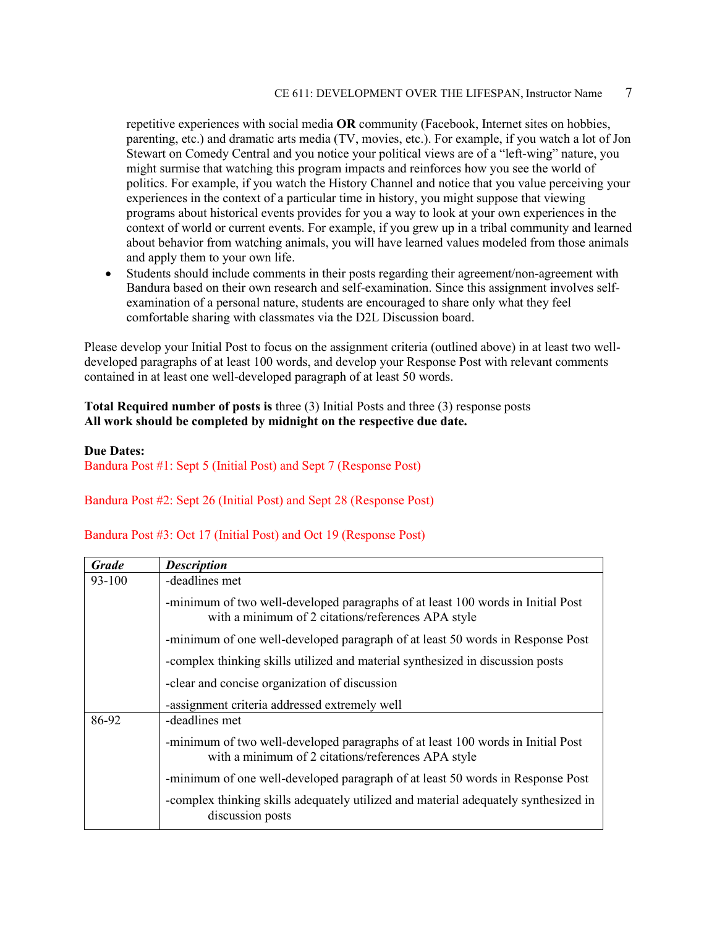repetitive experiences with social media **OR** community (Facebook, Internet sites on hobbies, parenting, etc.) and dramatic arts media (TV, movies, etc.). For example, if you watch a lot of Jon Stewart on Comedy Central and you notice your political views are of a "left-wing" nature, you might surmise that watching this program impacts and reinforces how you see the world of politics. For example, if you watch the History Channel and notice that you value perceiving your experiences in the context of a particular time in history, you might suppose that viewing programs about historical events provides for you a way to look at your own experiences in the context of world or current events. For example, if you grew up in a tribal community and learned about behavior from watching animals, you will have learned values modeled from those animals and apply them to your own life.

• Students should include comments in their posts regarding their agreement/non-agreement with Bandura based on their own research and self-examination. Since this assignment involves selfexamination of a personal nature, students are encouraged to share only what they feel comfortable sharing with classmates via the D2L Discussion board.

Please develop your Initial Post to focus on the assignment criteria (outlined above) in at least two welldeveloped paragraphs of at least 100 words, and develop your Response Post with relevant comments contained in at least one well-developed paragraph of at least 50 words.

**Total Required number of posts is** three (3) Initial Posts and three (3) response posts **All work should be completed by midnight on the respective due date.**

#### **Due Dates:**

Bandura Post #1: Sept 5 (Initial Post) and Sept 7 (Response Post)

#### Bandura Post #2: Sept 26 (Initial Post) and Sept 28 (Response Post)

| Bandura Post #3: Oct 17 (Initial Post) and Oct 19 (Response Post) |  |  |
|-------------------------------------------------------------------|--|--|
|-------------------------------------------------------------------|--|--|

| <b>Grade</b> | <b>Description</b>                                                                                                                    |
|--------------|---------------------------------------------------------------------------------------------------------------------------------------|
| 93-100       | -deadlines met                                                                                                                        |
|              | -minimum of two well-developed paragraphs of at least 100 words in Initial Post<br>with a minimum of 2 citations/references APA style |
|              | -minimum of one well-developed paragraph of at least 50 words in Response Post                                                        |
|              | -complex thinking skills utilized and material synthesized in discussion posts                                                        |
|              | -clear and concise organization of discussion                                                                                         |
|              | -assignment criteria addressed extremely well                                                                                         |
| 86-92        | -deadlines met                                                                                                                        |
|              | -minimum of two well-developed paragraphs of at least 100 words in Initial Post<br>with a minimum of 2 citations/references APA style |
|              | -minimum of one well-developed paragraph of at least 50 words in Response Post                                                        |
|              | -complex thinking skills adequately utilized and material adequately synthesized in<br>discussion posts                               |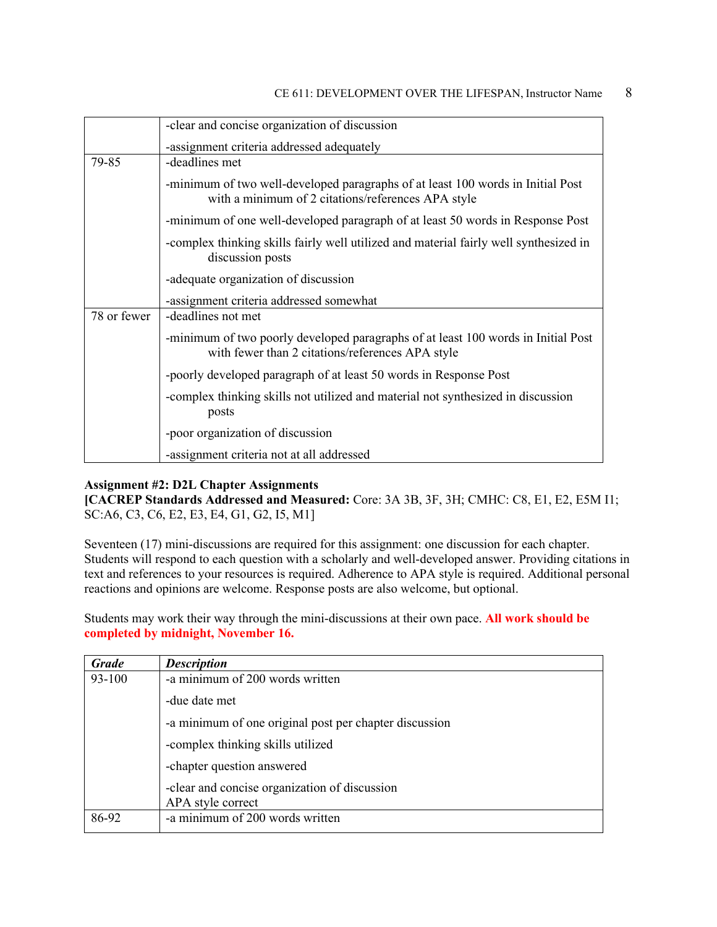|             | -clear and concise organization of discussion                                                                                         |
|-------------|---------------------------------------------------------------------------------------------------------------------------------------|
|             | -assignment criteria addressed adequately                                                                                             |
| 79-85       | -deadlines met                                                                                                                        |
|             | -minimum of two well-developed paragraphs of at least 100 words in Initial Post<br>with a minimum of 2 citations/references APA style |
|             | -minimum of one well-developed paragraph of at least 50 words in Response Post                                                        |
|             | -complex thinking skills fairly well utilized and material fairly well synthesized in<br>discussion posts                             |
|             | -adequate organization of discussion                                                                                                  |
|             | -assignment criteria addressed somewhat                                                                                               |
| 78 or fewer | -deadlines not met                                                                                                                    |
|             | -minimum of two poorly developed paragraphs of at least 100 words in Initial Post<br>with fewer than 2 citations/references APA style |
|             | -poorly developed paragraph of at least 50 words in Response Post                                                                     |
|             | -complex thinking skills not utilized and material not synthesized in discussion<br>posts                                             |
|             | -poor organization of discussion                                                                                                      |
|             | -assignment criteria not at all addressed                                                                                             |

#### **Assignment #2: D2L Chapter Assignments**

**[CACREP Standards Addressed and Measured:** Core: 3A 3B, 3F, 3H; CMHC: C8, E1, E2, E5M I1; SC:A6, C3, C6, E2, E3, E4, G1, G2, I5, M1]

Seventeen (17) mini-discussions are required for this assignment: one discussion for each chapter. Students will respond to each question with a scholarly and well-developed answer. Providing citations in text and references to your resources is required. Adherence to APA style is required. Additional personal reactions and opinions are welcome. Response posts are also welcome, but optional.

Students may work their way through the mini-discussions at their own pace. **All work should be completed by midnight, November 16.** 

| <b>Grade</b> | <b>Description</b>                                     |
|--------------|--------------------------------------------------------|
| 93-100       | -a minimum of 200 words written                        |
|              | -due date met                                          |
|              | -a minimum of one original post per chapter discussion |
|              | -complex thinking skills utilized                      |
|              | -chapter question answered                             |
|              | -clear and concise organization of discussion          |
|              | APA style correct                                      |
| 86-92        | -a minimum of 200 words written                        |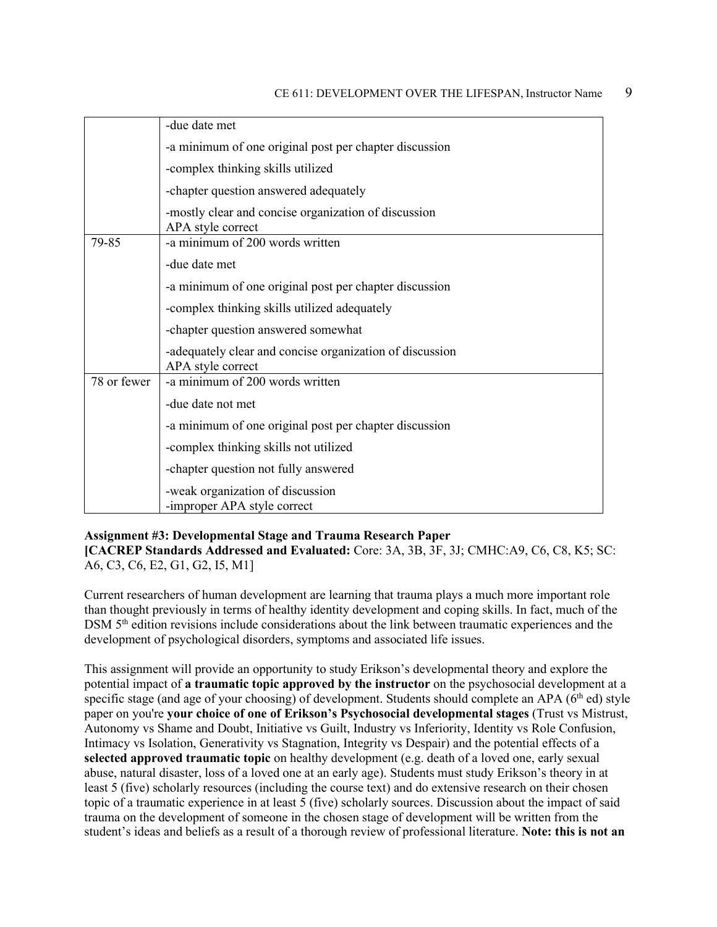|             | -due date met                                                                 |
|-------------|-------------------------------------------------------------------------------|
|             | -a minimum of one original post per chapter discussion                        |
|             | -complex thinking skills utilized                                             |
|             | -chapter question answered adequately                                         |
|             | -mostly clear and concise organization of discussion<br>APA style correct     |
| 79-85       | -a minimum of 200 words written                                               |
|             | -due date met                                                                 |
|             | -a minimum of one original post per chapter discussion                        |
|             | -complex thinking skills utilized adequately                                  |
|             | -chapter question answered somewhat                                           |
|             | -adequately clear and concise organization of discussion<br>APA style correct |
| 78 or fewer | -a minimum of 200 words written                                               |
|             | -due date not met                                                             |
|             | -a minimum of one original post per chapter discussion                        |
|             | -complex thinking skills not utilized                                         |
|             | -chapter question not fully answered                                          |
|             | -weak organization of discussion<br>-improper APA style correct               |

#### **Assignment #3: Developmental Stage and Trauma Research Paper**

**[CACREP Standards Addressed and Evaluated:** Core: 3A, 3B, 3F, 3J; CMHC:A9, C6, C8, K5; SC: A6, C3, C6, E2, G1, G2, I5, M1]

Current researchers of human development are learning that trauma plays a much more important role than thought previously in terms of healthy identity development and coping skills. In fact, much of the DSM  $5<sup>th</sup>$  edition revisions include considerations about the link between traumatic experiences and the development of psychological disorders, symptoms and associated life issues.

This assignment will provide an opportunity to study Erikson's developmental theory and explore the potential impact of **a traumatic topic approved by the instructor** on the psychosocial development at a specific stage (and age of your choosing) of development. Students should complete an APA ( $6<sup>th</sup>$  ed) style paper on you're **your choice of one of Erikson's Psychosocial developmental stages** (Trust vs Mistrust, Autonomy vs Shame and Doubt, Initiative vs Guilt, Industry vs Inferiority, Identity vs Role Confusion, Intimacy vs Isolation, Generativity vs Stagnation, Integrity vs Despair) and the potential effects of a **selected approved traumatic topic** on healthy development (e.g. death of a loved one, early sexual abuse, natural disaster, loss of a loved one at an early age). Students must study Erikson's theory in at least 5 (five) scholarly resources (including the course text) and do extensive research on their chosen topic of a traumatic experience in at least  $5$  (five) scholarly sources. Discussion about the impact of said trauma on the development of someone in the chosen stage of development will be written from the student's ideas and beliefs as a result of a thorough review of professional literature. **Note: this is not an**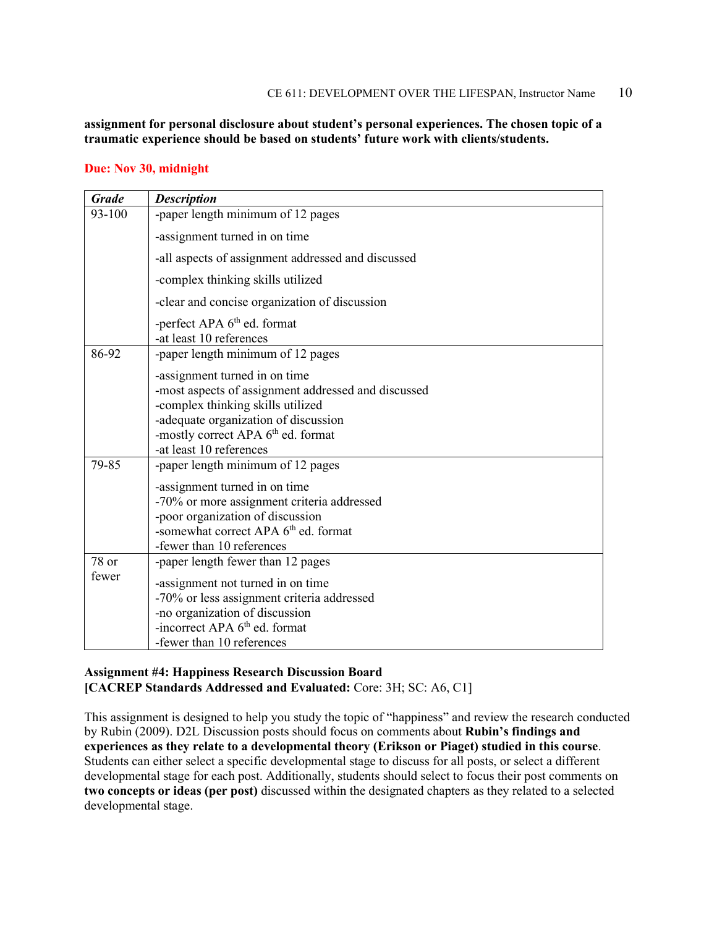### **assignment for personal disclosure about student's personal experiences. The chosen topic of a traumatic experience should be based on students' future work with clients/students.**

### **Due: Nov 30, midnight**

| <b>Grade</b> | <b>Description</b>                                                            |
|--------------|-------------------------------------------------------------------------------|
| 93-100       | -paper length minimum of 12 pages                                             |
|              | -assignment turned in on time                                                 |
|              | -all aspects of assignment addressed and discussed                            |
|              | -complex thinking skills utilized                                             |
|              | -clear and concise organization of discussion                                 |
|              | -perfect APA 6 <sup>th</sup> ed. format<br>-at least 10 references            |
| 86-92        | -paper length minimum of 12 pages                                             |
|              | -assignment turned in on time                                                 |
|              | -most aspects of assignment addressed and discussed                           |
|              | -complex thinking skills utilized                                             |
|              | -adequate organization of discussion                                          |
|              | -mostly correct APA 6 <sup>th</sup> ed. format<br>-at least 10 references     |
| 79-85        | -paper length minimum of 12 pages                                             |
|              |                                                                               |
|              | -assignment turned in on time                                                 |
|              | -70% or more assignment criteria addressed                                    |
|              | -poor organization of discussion                                              |
|              | -somewhat correct APA 6 <sup>th</sup> ed. format<br>-fewer than 10 references |
| 78 or        |                                                                               |
| fewer        | -paper length fewer than 12 pages                                             |
|              | -assignment not turned in on time                                             |
|              | -70% or less assignment criteria addressed                                    |
|              | -no organization of discussion                                                |
|              | -incorrect APA $6th$ ed. format                                               |
|              | -fewer than 10 references                                                     |

#### **Assignment #4: Happiness Research Discussion Board [CACREP Standards Addressed and Evaluated:** Core: 3H; SC: A6, C1]

This assignment is designed to help you study the topic of "happiness" and review the research conducted by Rubin (2009). D2L Discussion posts should focus on comments about **Rubin's findings and experiences as they relate to a developmental theory (Erikson or Piaget) studied in this course**. Students can either select a specific developmental stage to discuss for all posts, or select a different developmental stage for each post. Additionally, students should select to focus their post comments on **two concepts or ideas (per post)** discussed within the designated chapters as they related to a selected developmental stage.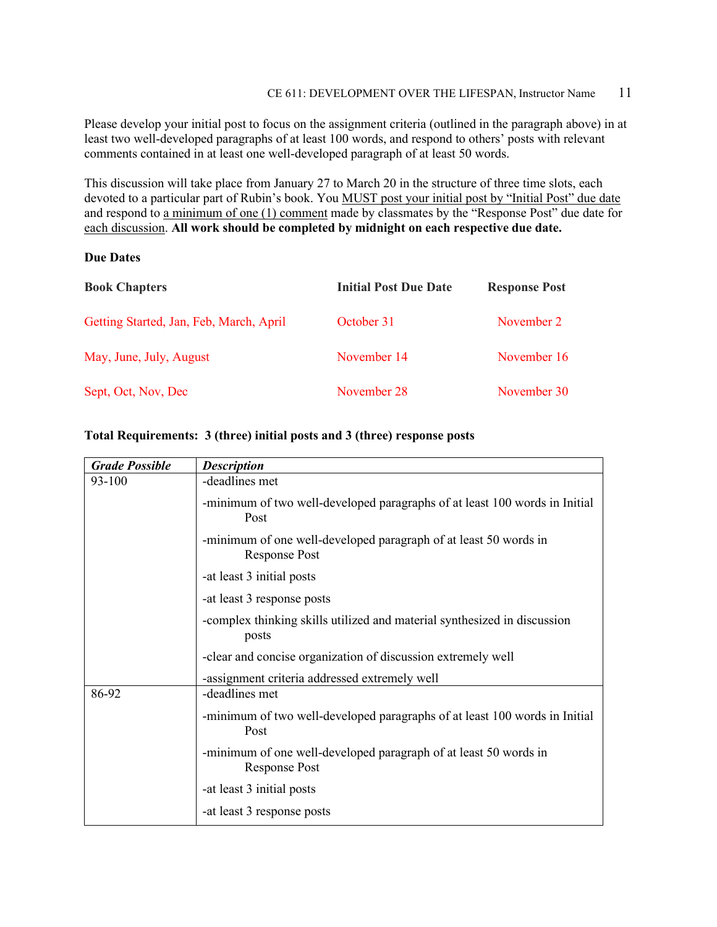Please develop your initial post to focus on the assignment criteria (outlined in the paragraph above) in at least two well-developed paragraphs of at least 100 words, and respond to others' posts with relevant comments contained in at least one well-developed paragraph of at least 50 words.

This discussion will take place from January 27 to March 20 in the structure of three time slots, each devoted to a particular part of Rubin's book. You MUST post your initial post by "Initial Post" due date and respond to a minimum of one (1) comment made by classmates by the "Response Post" due date for each discussion. **All work should be completed by midnight on each respective due date.**

#### **Due Dates**

| <b>Book Chapters</b>                    | <b>Initial Post Due Date</b> | <b>Response Post</b> |
|-----------------------------------------|------------------------------|----------------------|
| Getting Started, Jan, Feb, March, April | October 31                   | November 2           |
| May, June, July, August                 | November 14                  | November 16          |
| Sept, Oct, Nov, Dec                     | November 28                  | November 30          |

#### **Total Requirements: 3 (three) initial posts and 3 (three) response posts**

| <b>Grade Possible</b> | <b>Description</b>                                                                       |
|-----------------------|------------------------------------------------------------------------------------------|
| 93-100                | -deadlines met                                                                           |
|                       | -minimum of two well-developed paragraphs of at least 100 words in Initial<br>Post       |
|                       | -minimum of one well-developed paragraph of at least 50 words in<br><b>Response Post</b> |
|                       | -at least 3 initial posts                                                                |
|                       | -at least 3 response posts                                                               |
|                       | -complex thinking skills utilized and material synthesized in discussion<br>posts        |
|                       | -clear and concise organization of discussion extremely well                             |
|                       | -assignment criteria addressed extremely well                                            |
| 86-92                 | -deadlines met                                                                           |
|                       | -minimum of two well-developed paragraphs of at least 100 words in Initial<br>Post       |
|                       | -minimum of one well-developed paragraph of at least 50 words in<br><b>Response Post</b> |
|                       | -at least 3 initial posts                                                                |
|                       | -at least 3 response posts                                                               |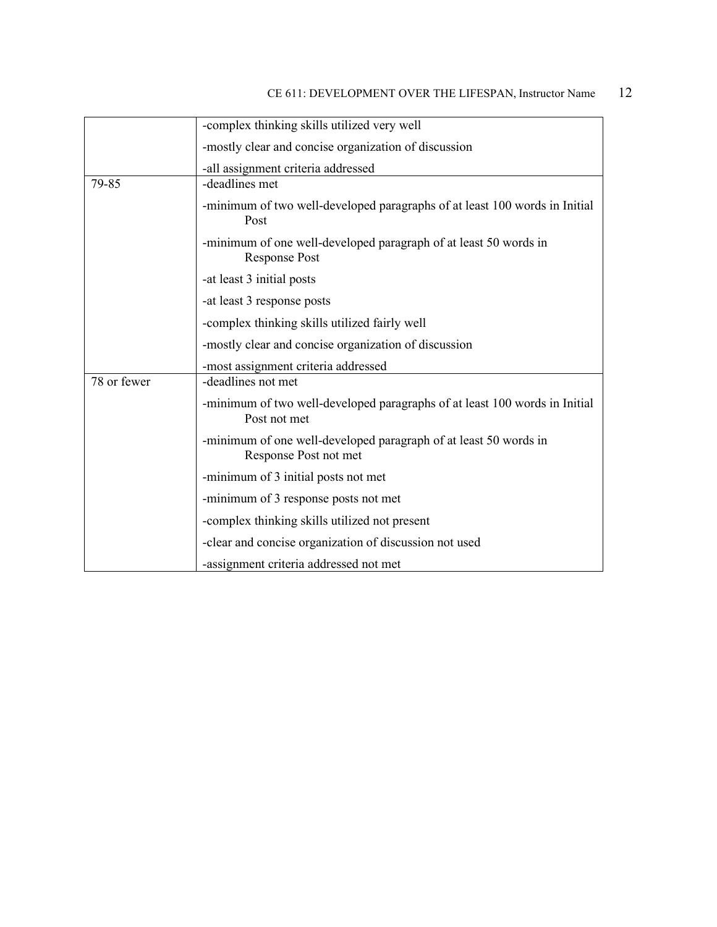|             | -complex thinking skills utilized very well                                                |
|-------------|--------------------------------------------------------------------------------------------|
|             | -mostly clear and concise organization of discussion                                       |
|             | -all assignment criteria addressed                                                         |
| 79-85       | -deadlines met                                                                             |
|             | -minimum of two well-developed paragraphs of at least 100 words in Initial<br>Post         |
|             | -minimum of one well-developed paragraph of at least 50 words in<br><b>Response Post</b>   |
|             | -at least 3 initial posts                                                                  |
|             | -at least 3 response posts                                                                 |
|             | -complex thinking skills utilized fairly well                                              |
|             | -mostly clear and concise organization of discussion                                       |
|             | -most assignment criteria addressed                                                        |
| 78 or fewer | -deadlines not met                                                                         |
|             | -minimum of two well-developed paragraphs of at least 100 words in Initial<br>Post not met |
|             | -minimum of one well-developed paragraph of at least 50 words in<br>Response Post not met  |
|             | -minimum of 3 initial posts not met                                                        |
|             | -minimum of 3 response posts not met                                                       |
|             | -complex thinking skills utilized not present                                              |
|             | -clear and concise organization of discussion not used                                     |
|             | -assignment criteria addressed not met                                                     |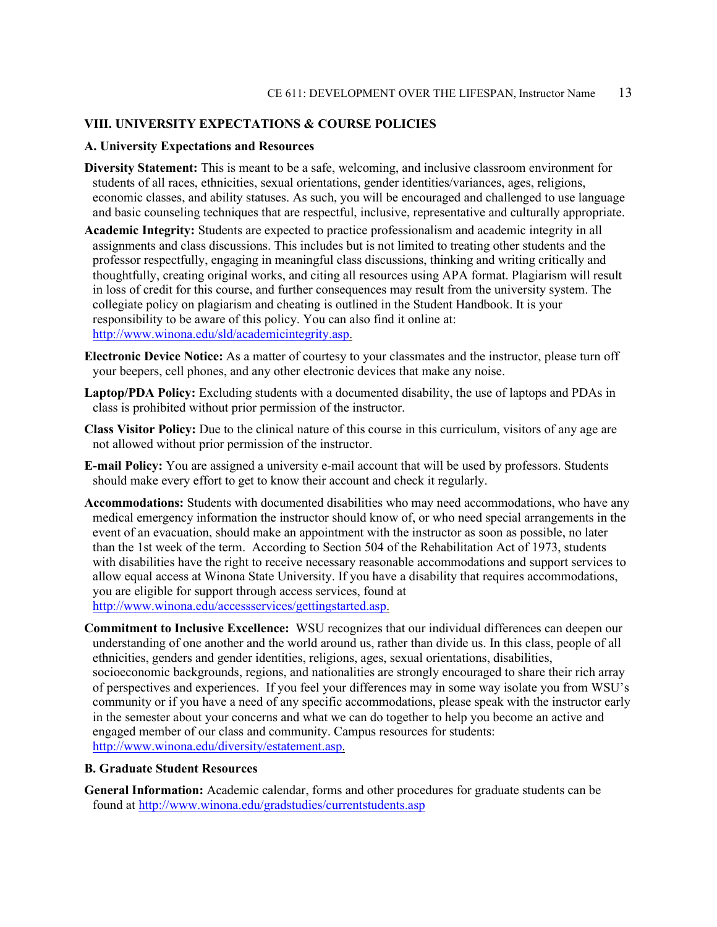#### **VIII. UNIVERSITY EXPECTATIONS & COURSE POLICIES**

#### **A. University Expectations and Resources**

- **Diversity Statement:** This is meant to be a safe, welcoming, and inclusive classroom environment for students of all races, ethnicities, sexual orientations, gender identities/variances, ages, religions, economic classes, and ability statuses. As such, you will be encouraged and challenged to use language and basic counseling techniques that are respectful, inclusive, representative and culturally appropriate.
- **Academic Integrity:** Students are expected to practice professionalism and academic integrity in all assignments and class discussions. This includes but is not limited to treating other students and the professor respectfully, engaging in meaningful class discussions, thinking and writing critically and thoughtfully, creating original works, and citing all resources using APA format. Plagiarism will result in loss of credit for this course, and further consequences may result from the university system. The collegiate policy on plagiarism and cheating is outlined in the Student Handbook. It is your responsibility to be aware of this policy. You can also find it online at: [http://www.winona.edu/sld/academicintegrity.asp.](http://www.winona.edu/sld/academicintegrity.asp)
- **Electronic Device Notice:** As a matter of courtesy to your classmates and the instructor, please turn off your beepers, cell phones, and any other electronic devices that make any noise.
- **Laptop/PDA Policy:** Excluding students with a documented disability, the use of laptops and PDAs in class is prohibited without prior permission of the instructor.
- **Class Visitor Policy:** Due to the clinical nature of this course in this curriculum, visitors of any age are not allowed without prior permission of the instructor.
- **E-mail Policy:** You are assigned a university e-mail account that will be used by professors. Students should make every effort to get to know their account and check it regularly.
- **Accommodations:** Students with documented disabilities who may need accommodations, who have any medical emergency information the instructor should know of, or who need special arrangements in the event of an evacuation, should make an appointment with the instructor as soon as possible, no later than the 1st week of the term. According to Section 504 of the Rehabilitation Act of 1973, students with disabilities have the right to receive necessary reasonable accommodations and support services to allow equal access at Winona State University. If you have a disability that requires accommodations, you are eligible for support through access services, found at [http://www.winona.edu/accessservices/gettingstarted.asp.](http://www.winona.edu/accessservices/gettingstarted.asp)
- **Commitment to Inclusive Excellence:** WSU recognizes that our individual differences can deepen our understanding of one another and the world around us, rather than divide us. In this class, people of all ethnicities, genders and gender identities, religions, ages, sexual orientations, disabilities, socioeconomic backgrounds, regions, and nationalities are strongly encouraged to share their rich array of perspectives and experiences. If you feel your differences may in some way isolate you from WSU's community or if you have a need of any specific accommodations, please speak with the instructor early in the semester about your concerns and what we can do together to help you become an active and engaged member of our class and community. Campus resources for students: [http://www.winona.edu/diversity/estatement.asp.](http://www.winona.edu/diversity/estatement.asp)

#### **B. Graduate Student Resources**

**General Information:** Academic calendar, forms and other procedures for graduate students can be found at<http://www.winona.edu/gradstudies/currentstudents.asp>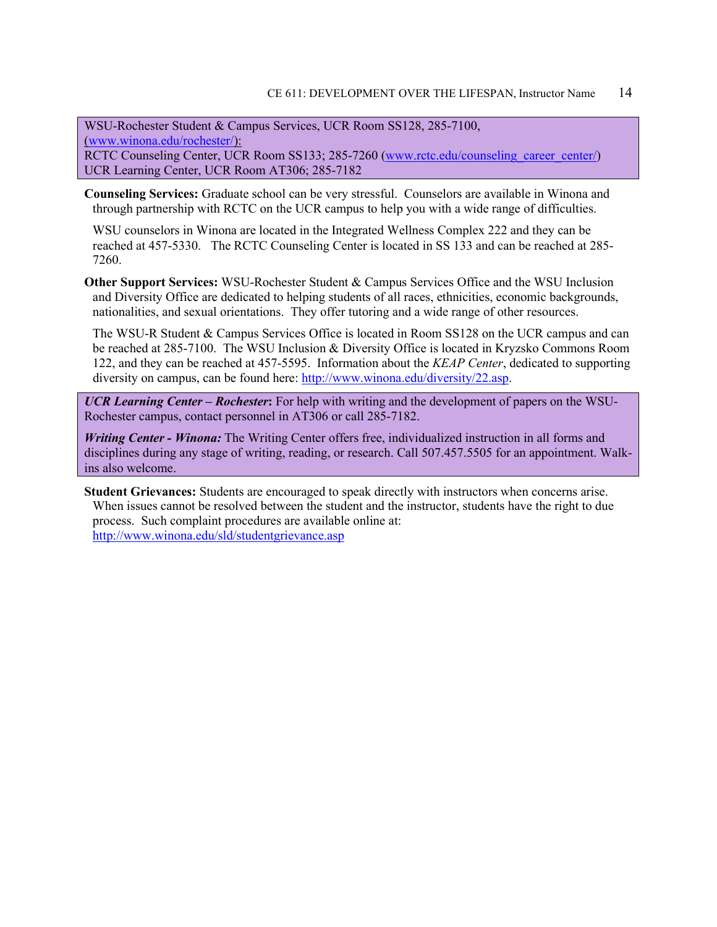WSU-Rochester Student & Campus Services, UCR Room SS128, 285-7100, [\(www.winona.edu/rochester/\)](http://www.winona.edu/rochester/): RCTC Counseling Center, UCR Room SS133; 285-7260 [\(www.rctc.edu/counseling\\_career\\_center/\)](http://www.rctc.edu/counseling_career_center/) UCR Learning Center, UCR Room AT306; 285-7182

**Counseling Services:** Graduate school can be very stressful. Counselors are available in Winona and through partnership with RCTC on the UCR campus to help you with a wide range of difficulties.

WSU counselors in Winona are located in the Integrated Wellness Complex 222 and they can be reached at 457-5330. The RCTC Counseling Center is located in SS 133 and can be reached at 285- 7260.

**Other Support Services:** WSU-Rochester Student & Campus Services Office and the WSU Inclusion and Diversity Office are dedicated to helping students of all races, ethnicities, economic backgrounds, nationalities, and sexual orientations. They offer tutoring and a wide range of other resources.

The WSU-R Student & Campus Services Office is located in Room SS128 on the UCR campus and can be reached at 285-7100. The WSU Inclusion & Diversity Office is located in Kryzsko Commons Room 122, and they can be reached at 457-5595. Information about the *KEAP Center*, dedicated to supporting diversity on campus, can be found here: [http://www.winona.edu/diversity/22.asp.](http://www.winona.edu/diversity/22.asp)

*UCR Learning Center – Rochester***:** For help with writing and the development of papers on the WSU-Rochester campus, contact personnel in AT306 or call 285-7182.

*Writing Center - Winona:* The Writing Center offers free, individualized instruction in all forms and disciplines during any stage of writing, reading, or research. Call 507.457.5505 for an appointment. Walkins also welcome.

**Student Grievances:** Students are encouraged to speak directly with instructors when concerns arise. When issues cannot be resolved between the student and the instructor, students have the right to due process. Such complaint procedures are available online at: <http://www.winona.edu/sld/studentgrievance.asp>